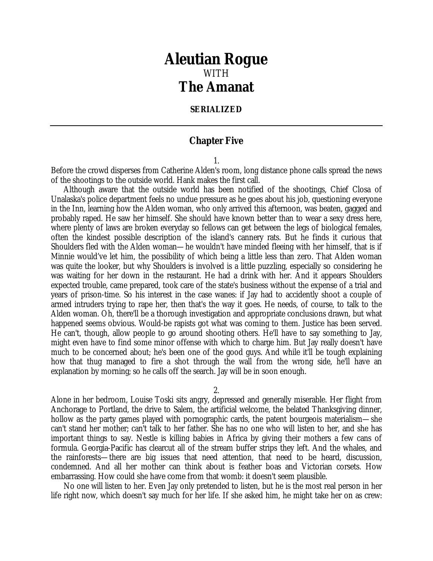## *Aleutian Rogue* WITH *The Amanat*

## **SERIALIZED**

## **Chapter Five**

1.

Before the crowd disperses from Catherine Alden's room, long distance phone calls spread the news of the shootings to the outside world. Hank makes the first call.

Although aware that the outside world has been notified of the shootings, Chief Closa of Unalaska's police department feels no undue pressure as he goes about his job, questioning everyone in the Inn, learning how the Alden woman, who only arrived this afternoon, was beaten, gagged and probably raped. He saw her himself. She should have known better than to wear a sexy dress here, where plenty of laws are broken everyday so fellows can get between the legs of biological females, often the kindest possible description of the island's cannery rats. But he finds it curious that Shoulders fled with the Alden woman—he wouldn't have minded fleeing with her himself, that is if Minnie would've let him, the possibility of which being a little less than zero. That Alden woman was quite the looker, but why Shoulders is involved is a little puzzling, especially so considering he was waiting for her down in the restaurant. He had a drink with her. And it appears Shoulders expected trouble, came prepared, took care of the state's business without the expense of a trial and years of prison-time. So his interest in the case wanes: if Jay had to accidently shoot a couple of armed intruders trying to rape her, then that's the way it goes. He needs, of course, to talk to the Alden woman. Oh, there'll be a thorough investigation and appropriate conclusions drawn, but what happened seems obvious. Would-be rapists got what was coming to them. Justice has been served. He can't, though, allow people to go around shooting others. He'll have to say something to Jay, might even have to find some minor offense with which to charge him. But Jay really doesn't have much to be concerned about; he's been one of the good guys. And while it'll be tough explaining how that thug managed to fire a shot through the wall from the wrong side, he'll have an explanation by morning; so he calls off the search. Jay will be in soon enough.

2.

Alone in her bedroom, Louise Toski sits angry, depressed and generally miserable. Her flight from Anchorage to Portland, the drive to Salem, the artificial welcome, the belated Thanksgiving dinner, hollow as the party games played with pornographic cards, the patent bourgeois materialism—she can't stand her mother; can't talk to her father. She has no one who will listen to her, and she has important things to say. Nestle is killing babies in Africa by giving their mothers a few cans of formula. Georgia-Pacific has clearcut all of the stream buffer strips they left. And the whales, and the rainforests—there are big issues that need attention, that need to be heard, discussion, condemned. And all her mother can think about is feather boas and Victorian corsets. How embarrassing. How could she have come from that womb: it doesn't seem plausible.

No one will listen to her. Even Jay only pretended to listen, but he is the most real person in her life right now, which doesn't say much for her life. If she asked him, he might take her on as crew: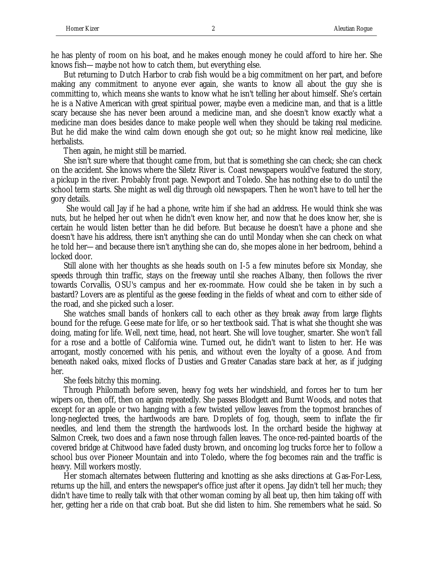he has plenty of room on his boat, and he makes enough money he could afford to hire her. She knows fish—maybe not how to catch them, but everything else.

But returning to Dutch Harbor to crab fish would be a big commitment on her part, and before making any commitment to anyone ever again, she wants to know all about the guy she is committing to, which means she wants to know what he isn't telling her about himself. She's certain he is a Native American with great spiritual power, maybe even a medicine man, and that is a little scary because she has never been around a medicine man, and she doesn't know exactly what a medicine man does besides dance to make people well when they should be taking real medicine. But he did make the wind calm down enough she got out; so he might know real medicine, like herbalists.

Then again, he might still be married.

She isn't sure where that thought came from, but that is something she can check; she can check on the accident. She knows where the Siletz River is. Coast newspapers would've featured the story, a pickup in the river. Probably front page. Newport and Toledo. She has nothing else to do until the school term starts. She might as well dig through old newspapers. Then he won't have to tell her the gory details.

 She would call Jay if he had a phone, write him if she had an address. He would think she was nuts, but he helped her out when he didn't even know her, and now that he does know her, she is certain he would listen better than he did before. But because he doesn't have a phone and she doesn't have his address, there isn't anything she can do until Monday when she can check on what he told her—and because there isn't anything she can do, she mopes alone in her bedroom, behind a locked door.

Still alone with her thoughts as she heads south on I-5 a few minutes before six Monday, she speeds through thin traffic, stays on the freeway until she reaches Albany, then follows the river towards Corvallis, OSU's campus and her ex-roommate. How could she be taken in by such a bastard? Lovers are as plentiful as the geese feeding in the fields of wheat and corn to either side of the road, and she picked such a loser.

She watches small bands of honkers call to each other as they break away from large flights bound for the refuge. Geese mate for life, or so her textbook said. That is what she thought she was doing, mating for life. Well, next time, head, not heart. She will love tougher, smarter. She won't fall for a rose and a bottle of California wine. Turned out, he didn't want to listen to her. He was arrogant, mostly concerned with his penis, and without even the loyalty of a goose. And from beneath naked oaks, mixed flocks of Dusties and Greater Canadas stare back at her, as if judging her.

She feels bitchy this morning.

Through Philomath before seven, heavy fog wets her windshield, and forces her to turn her wipers on, then off, then on again repeatedly. She passes Blodgett and Burnt Woods, and notes that except for an apple or two hanging with a few twisted yellow leaves from the topmost branches of long-neglected trees, the hardwoods are bare. Droplets of fog, though, seem to inflate the fir needles, and lend them the strength the hardwoods lost. In the orchard beside the highway at Salmon Creek, two does and a fawn nose through fallen leaves. The once-red-painted boards of the covered bridge at Chitwood have faded dusty brown, and oncoming log trucks force her to follow a school bus over Pioneer Mountain and into Toledo, where the fog becomes rain and the traffic is heavy. Mill workers mostly.

Her stomach alternates between fluttering and knotting as she asks directions at Gas-For-Less, returns up the hill, and enters the newspaper's office just after it opens. Jay didn't tell her much; they didn't have time to really talk with that other woman coming by all beat up, then him taking off with her, getting her a ride on that crab boat. But she did listen to him. She remembers what he said. So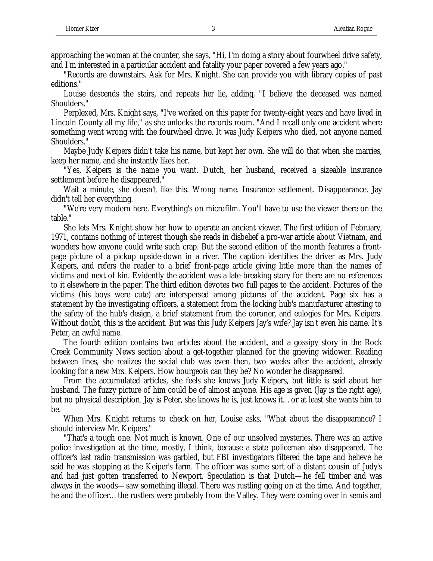approaching the woman at the counter, she says, "Hi, I'm doing a story about fourwheel drive safety, and I'm interested in a particular accident and fatality your paper covered a few years ago."

"Records are downstairs. Ask for Mrs. Knight. She can provide you with library copies of past editions."

Louise descends the stairs, and repeats her lie, adding, "I believe the deceased was named Shoulders."

Perplexed, Mrs. Knight says, "I've worked on this paper for twenty-eight years and have lived in Lincoln County all my life," as she unlocks the records room. "And I recall only one accident where something went wrong with the fourwheel drive. It was Judy Keipers who died, not anyone named Shoulders."

Maybe Judy Keipers didn't take his name, but kept her own. She will do that when she marries, keep her name, and she instantly likes her.

"Yes, Keipers is the name you want. Dutch, her husband, received a sizeable insurance settlement before he disappeared."

Wait a minute, she doesn't like this. Wrong name. Insurance settlement. Disappearance. Jay didn't tell her everything.

"We're very modern here. Everything's on microfilm. You'll have to use the viewer there on the table."

She lets Mrs. Knight show her how to operate an ancient viewer. The first edition of February, 1971, contains nothing of interest though she reads in disbelief a pro-war article about Vietnam, and wonders how anyone could write such crap. But the second edition of the month features a frontpage picture of a pickup upside-down in a river. The caption identifies the driver as Mrs. Judy Keipers, and refers the reader to a brief front-page article giving little more than the names of victims and next of kin. Evidently the accident was a late-breaking story for there are no references to it elsewhere in the paper. The third edition devotes two full pages to the accident. Pictures of the victims (his boys were cute) are interspersed among pictures of the accident. Page six has a statement by the investigating officers, a statement from the locking hub's manufacturer attesting to the safety of the hub's design, a brief statement from the coroner, and eulogies for Mrs. Keipers. Without doubt, this is the accident. But was this Judy Keipers Jay's wife? Jay isn't even his name. It's Peter, an awful name.

The fourth edition contains two articles about the accident, and a gossipy story in the Rock Creek Community News section about a get-together planned for the grieving widower. Reading between lines, she realizes the social club was even then, two weeks after the accident, already looking for a new Mrs. Keipers. How bourgeois can they be? No wonder he disappeared.

From the accumulated articles, she feels she knows Judy Keipers, but little is said about her husband. The fuzzy picture of him could be of almost anyone. His age is given (Jay is the right age), but no physical description. Jay is Peter, she knows he is, just knows it…or at least she wants him to be.

When Mrs. Knight returns to check on her, Louise asks, "What about the disappearance? I should interview Mr. Keipers."

"That's a tough one. Not much is known. One of our unsolved mysteries. There was an active police investigation at the time, mostly, I think, because a state policeman also disappeared. The officer's last radio transmission was garbled, but FBI investigators filtered the tape and believe he said he was stopping at the Keiper's farm. The officer was some sort of a distant cousin of Judy's and had just gotten transferred to Newport. Speculation is that Dutch—he fell timber and was always in the woods—saw something illegal. There was rustling going on at the time. And together, he and the officer…the rustlers were probably from the Valley. They were coming over in semis and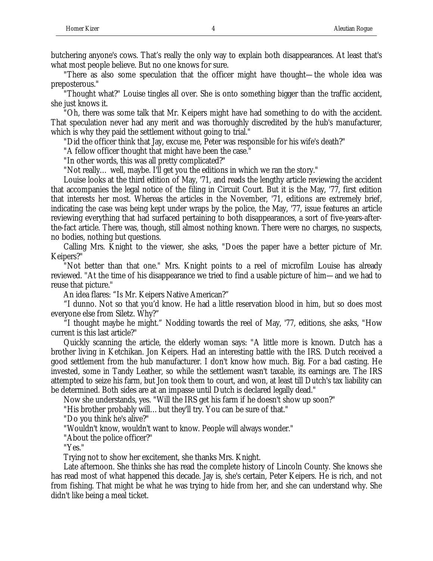butchering anyone's cows. That's really the only way to explain both disappearances. At least that's what most people believe. But no one knows for sure.

"There as also some speculation that the officer might have thought—the whole idea was preposterous."

"Thought what?" Louise tingles all over. She is onto something bigger than the traffic accident, she just knows it.

"Oh, there was some talk that Mr. Keipers might have had something to do with the accident. That speculation never had any merit and was thoroughly discredited by the hub's manufacturer, which is why they paid the settlement without going to trial."

"Did the officer think that Jay, excuse me, Peter was responsible for his wife's death?"

"A fellow officer thought that might have been the case."

"In other words, this was all pretty complicated?"

"Not really… well, maybe. I'll get you the editions in which we ran the story."

Louise looks at the third edition of May, '71, and reads the lengthy article reviewing the accident that accompanies the legal notice of the filing in Circuit Court. But it is the May, '77, first edition that interests her most. Whereas the articles in the November, '71, editions are extremely brief, indicating the case was being kept under wraps by the police, the May, '77, issue features an article reviewing everything that had surfaced pertaining to both disappearances, a sort of five-years-afterthe-fact article. There was, though, still almost nothing known. There were no charges, no suspects, no bodies, nothing but questions.

Calling Mrs. Knight to the viewer, she asks, "Does the paper have a better picture of Mr. Keipers?"

"Not better than that one." Mrs. Knight points to a reel of microfilm Louise has already reviewed. "At the time of his disappearance we tried to find a usable picture of him—and we had to reuse that picture."

An idea flares: "Is Mr. Keipers Native American?"

"I dunno. Not so that you'd know. He had a little reservation blood in him, but so does most everyone else from Siletz. Why?"

"I thought maybe he might." Nodding towards the reel of May, '77, editions, she asks, "How current is this last article?"

Quickly scanning the article, the elderly woman says: "A little more is known. Dutch has a brother living in Ketchikan. Jon Keipers. Had an interesting battle with the IRS. Dutch received a good settlement from the hub manufacturer. I don't know how much. Big. For a bad casting. He invested, some in Tandy Leather, so while the settlement wasn't taxable, its earnings are. The IRS attempted to seize his farm, but Jon took them to court, and won, at least till Dutch's tax liability can be determined. Both sides are at an impasse until Dutch is declared legally dead."

Now she understands, yes. "Will the IRS get his farm if he doesn't show up soon?"

"His brother probably will…but they'll try. You can be sure of that."

"Do you think he's alive?"

"Wouldn't know, wouldn't want to know. People will always wonder."

"About the police officer?"

"Yes."

Trying not to show her excitement, she thanks Mrs. Knight.

Late afternoon. She thinks she has read the complete history of Lincoln County. She knows she has read most of what happened this decade. Jay is, she's certain, Peter Keipers. He is rich, and not from fishing. That might be what he was trying to hide from her, and she can understand why. She didn't like being a meal ticket.